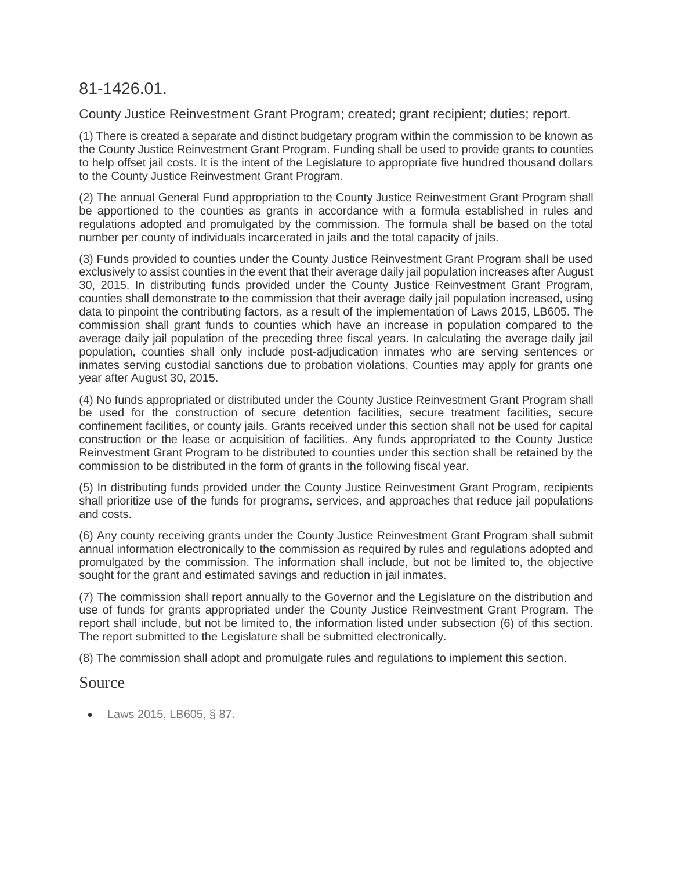# 81-1426.01.

County Justice Reinvestment Grant Program; created; grant recipient; duties; report.

(1) There is created a separate and distinct budgetary program within the commission to be known as the County Justice Reinvestment Grant Program. Funding shall be used to provide grants to counties to help offset jail costs. It is the intent of the Legislature to appropriate five hundred thousand dollars to the County Justice Reinvestment Grant Program.

(2) The annual General Fund appropriation to the County Justice Reinvestment Grant Program shall be apportioned to the counties as grants in accordance with a formula established in rules and regulations adopted and promulgated by the commission. The formula shall be based on the total number per county of individuals incarcerated in jails and the total capacity of jails.

(3) Funds provided to counties under the County Justice Reinvestment Grant Program shall be used exclusively to assist counties in the event that their average daily jail population increases after August 30, 2015. In distributing funds provided under the County Justice Reinvestment Grant Program, counties shall demonstrate to the commission that their average daily jail population increased, using data to pinpoint the contributing factors, as a result of the implementation of Laws 2015, LB605. The commission shall grant funds to counties which have an increase in population compared to the average daily jail population of the preceding three fiscal years. In calculating the average daily jail population, counties shall only include post-adjudication inmates who are serving sentences or inmates serving custodial sanctions due to probation violations. Counties may apply for grants one year after August 30, 2015.

(4) No funds appropriated or distributed under the County Justice Reinvestment Grant Program shall be used for the construction of secure detention facilities, secure treatment facilities, secure confinement facilities, or county jails. Grants received under this section shall not be used for capital construction or the lease or acquisition of facilities. Any funds appropriated to the County Justice Reinvestment Grant Program to be distributed to counties under this section shall be retained by the commission to be distributed in the form of grants in the following fiscal year.

(5) In distributing funds provided under the County Justice Reinvestment Grant Program, recipients shall prioritize use of the funds for programs, services, and approaches that reduce jail populations and costs.

(6) Any county receiving grants under the County Justice Reinvestment Grant Program shall submit annual information electronically to the commission as required by rules and regulations adopted and promulgated by the commission. The information shall include, but not be limited to, the objective sought for the grant and estimated savings and reduction in jail inmates.

(7) The commission shall report annually to the Governor and the Legislature on the distribution and use of funds for grants appropriated under the County Justice Reinvestment Grant Program. The report shall include, but not be limited to, the information listed under subsection (6) of this section. The report submitted to the Legislature shall be submitted electronically.

(8) The commission shall adopt and promulgate rules and regulations to implement this section.

# Source

[Laws 2015, LB605, § 87.](http://nebraskalegislature.gov/FloorDocs/104/PDF/Slip/LB605.pdf)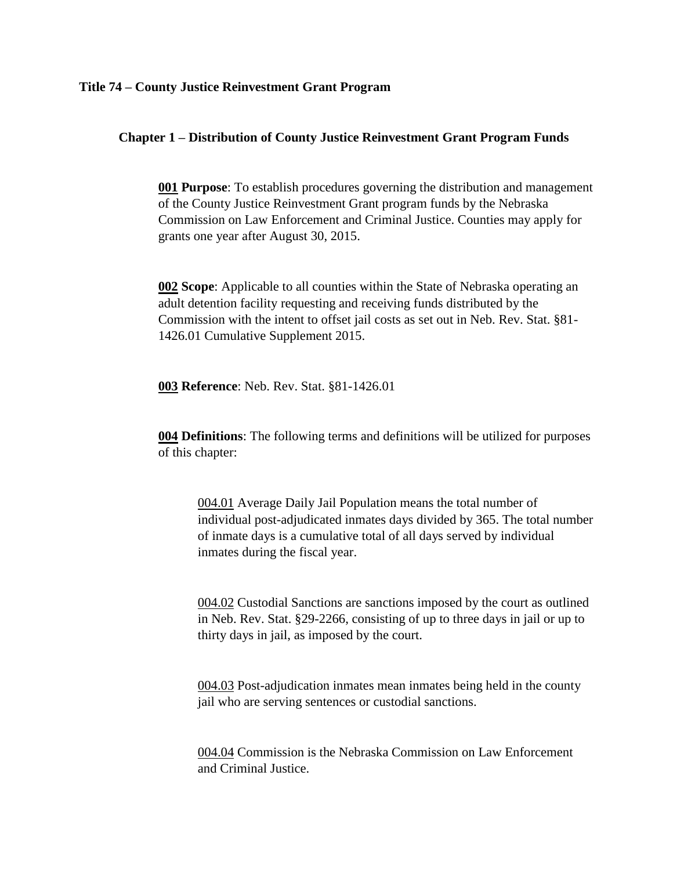#### **Title 74 – County Justice Reinvestment Grant Program**

## **Chapter 1 – Distribution of County Justice Reinvestment Grant Program Funds**

**001 Purpose**: To establish procedures governing the distribution and management of the County Justice Reinvestment Grant program funds by the Nebraska Commission on Law Enforcement and Criminal Justice. Counties may apply for grants one year after August 30, 2015.

**002 Scope**: Applicable to all counties within the State of Nebraska operating an adult detention facility requesting and receiving funds distributed by the Commission with the intent to offset jail costs as set out in Neb. Rev. Stat. §81- 1426.01 Cumulative Supplement 2015.

**003 Reference**: Neb. Rev. Stat. §81-1426.01

**004 Definitions**: The following terms and definitions will be utilized for purposes of this chapter:

004.01 Average Daily Jail Population means the total number of individual post-adjudicated inmates days divided by 365. The total number of inmate days is a cumulative total of all days served by individual inmates during the fiscal year.

004.02 Custodial Sanctions are sanctions imposed by the court as outlined in Neb. Rev. Stat. §29-2266, consisting of up to three days in jail or up to thirty days in jail, as imposed by the court.

004.03 Post-adjudication inmates mean inmates being held in the county jail who are serving sentences or custodial sanctions.

004.04 Commission is the Nebraska Commission on Law Enforcement and Criminal Justice.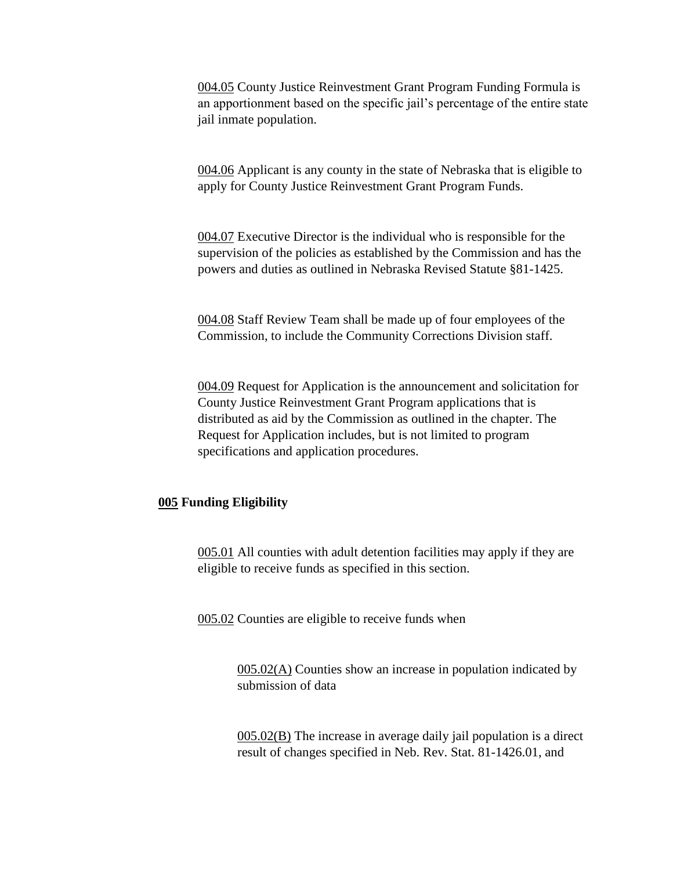004.05 County Justice Reinvestment Grant Program Funding Formula is an apportionment based on the specific jail's percentage of the entire state jail inmate population.

004.06 Applicant is any county in the state of Nebraska that is eligible to apply for County Justice Reinvestment Grant Program Funds.

004.07 Executive Director is the individual who is responsible for the supervision of the policies as established by the Commission and has the powers and duties as outlined in Nebraska Revised Statute §81-1425.

004.08 Staff Review Team shall be made up of four employees of the Commission, to include the Community Corrections Division staff.

004.09 Request for Application is the announcement and solicitation for County Justice Reinvestment Grant Program applications that is distributed as aid by the Commission as outlined in the chapter. The Request for Application includes, but is not limited to program specifications and application procedures.

#### **005 Funding Eligibility**

005.01 All counties with adult detention facilities may apply if they are eligible to receive funds as specified in this section.

005.02 Counties are eligible to receive funds when

005.02(A) Counties show an increase in population indicated by submission of data

005.02(B) The increase in average daily jail population is a direct result of changes specified in Neb. Rev. Stat. 81-1426.01, and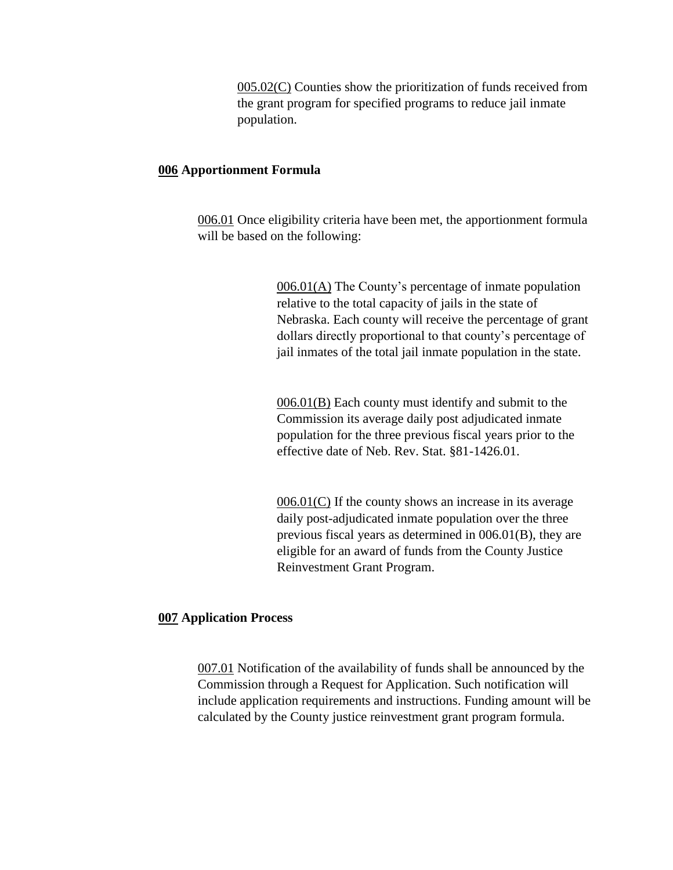005.02(C) Counties show the prioritization of funds received from the grant program for specified programs to reduce jail inmate population.

#### **006 Apportionment Formula**

006.01 Once eligibility criteria have been met, the apportionment formula will be based on the following:

> 006.01(A) The County's percentage of inmate population relative to the total capacity of jails in the state of Nebraska. Each county will receive the percentage of grant dollars directly proportional to that county's percentage of jail inmates of the total jail inmate population in the state.

006.01(B) Each county must identify and submit to the Commission its average daily post adjudicated inmate population for the three previous fiscal years prior to the effective date of Neb. Rev. Stat. §81-1426.01.

 $006.01(C)$  If the county shows an increase in its average daily post-adjudicated inmate population over the three previous fiscal years as determined in 006.01(B), they are eligible for an award of funds from the County Justice Reinvestment Grant Program.

#### **007 Application Process**

007.01 Notification of the availability of funds shall be announced by the Commission through a Request for Application. Such notification will include application requirements and instructions. Funding amount will be calculated by the County justice reinvestment grant program formula.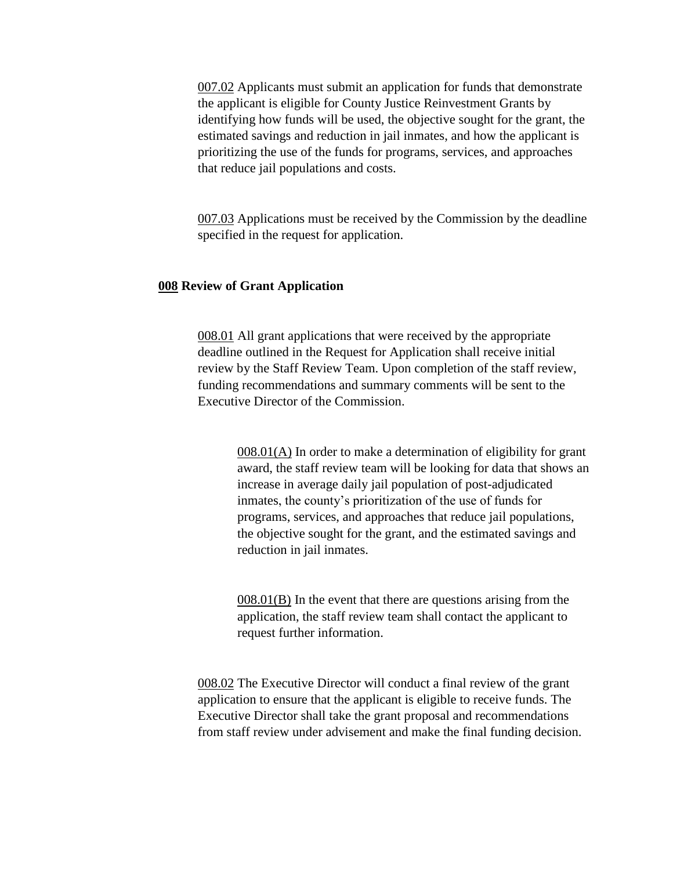007.02 Applicants must submit an application for funds that demonstrate the applicant is eligible for County Justice Reinvestment Grants by identifying how funds will be used, the objective sought for the grant, the estimated savings and reduction in jail inmates, and how the applicant is prioritizing the use of the funds for programs, services, and approaches that reduce jail populations and costs.

007.03 Applications must be received by the Commission by the deadline specified in the request for application.

## **008 Review of Grant Application**

008.01 All grant applications that were received by the appropriate deadline outlined in the Request for Application shall receive initial review by the Staff Review Team. Upon completion of the staff review, funding recommendations and summary comments will be sent to the Executive Director of the Commission.

> 008.01(A) In order to make a determination of eligibility for grant award, the staff review team will be looking for data that shows an increase in average daily jail population of post-adjudicated inmates, the county's prioritization of the use of funds for programs, services, and approaches that reduce jail populations, the objective sought for the grant, and the estimated savings and reduction in jail inmates.

008.01(B) In the event that there are questions arising from the application, the staff review team shall contact the applicant to request further information.

008.02 The Executive Director will conduct a final review of the grant application to ensure that the applicant is eligible to receive funds. The Executive Director shall take the grant proposal and recommendations from staff review under advisement and make the final funding decision.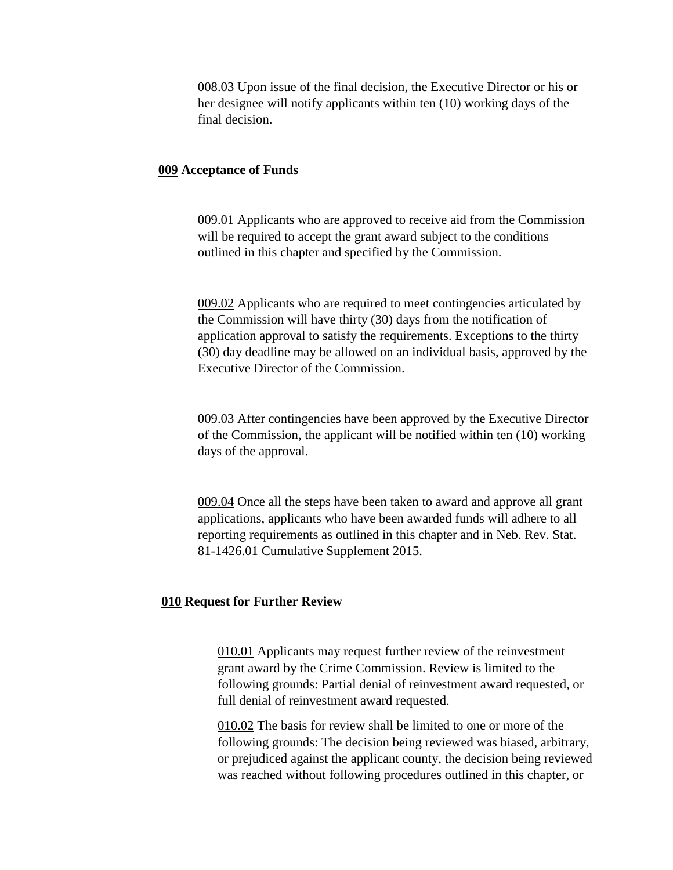008.03 Upon issue of the final decision, the Executive Director or his or her designee will notify applicants within ten (10) working days of the final decision.

#### **009 Acceptance of Funds**

009.01 Applicants who are approved to receive aid from the Commission will be required to accept the grant award subject to the conditions outlined in this chapter and specified by the Commission.

009.02 Applicants who are required to meet contingencies articulated by the Commission will have thirty (30) days from the notification of application approval to satisfy the requirements. Exceptions to the thirty (30) day deadline may be allowed on an individual basis, approved by the Executive Director of the Commission.

009.03 After contingencies have been approved by the Executive Director of the Commission, the applicant will be notified within ten (10) working days of the approval.

009.04 Once all the steps have been taken to award and approve all grant applications, applicants who have been awarded funds will adhere to all reporting requirements as outlined in this chapter and in Neb. Rev. Stat. 81-1426.01 Cumulative Supplement 2015.

#### **010 Request for Further Review**

010.01 Applicants may request further review of the reinvestment grant award by the Crime Commission. Review is limited to the following grounds: Partial denial of reinvestment award requested, or full denial of reinvestment award requested.

010.02 The basis for review shall be limited to one or more of the following grounds: The decision being reviewed was biased, arbitrary, or prejudiced against the applicant county, the decision being reviewed was reached without following procedures outlined in this chapter, or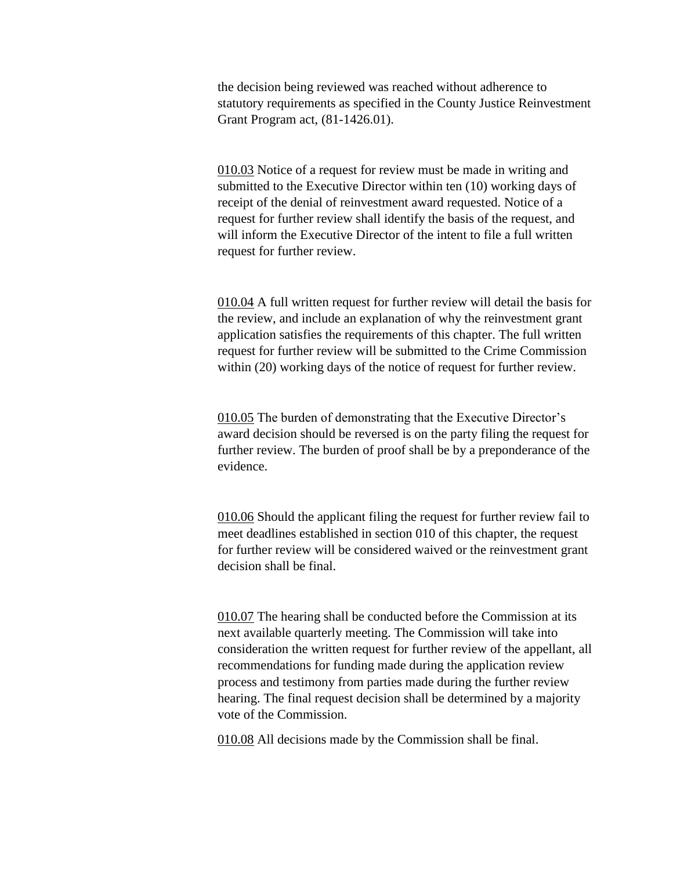the decision being reviewed was reached without adherence to statutory requirements as specified in the County Justice Reinvestment Grant Program act, (81-1426.01).

010.03 Notice of a request for review must be made in writing and submitted to the Executive Director within ten (10) working days of receipt of the denial of reinvestment award requested. Notice of a request for further review shall identify the basis of the request, and will inform the Executive Director of the intent to file a full written request for further review.

010.04 A full written request for further review will detail the basis for the review, and include an explanation of why the reinvestment grant application satisfies the requirements of this chapter. The full written request for further review will be submitted to the Crime Commission within (20) working days of the notice of request for further review.

010.05 The burden of demonstrating that the Executive Director's award decision should be reversed is on the party filing the request for further review. The burden of proof shall be by a preponderance of the evidence.

010.06 Should the applicant filing the request for further review fail to meet deadlines established in section 010 of this chapter, the request for further review will be considered waived or the reinvestment grant decision shall be final.

010.07 The hearing shall be conducted before the Commission at its next available quarterly meeting. The Commission will take into consideration the written request for further review of the appellant, all recommendations for funding made during the application review process and testimony from parties made during the further review hearing. The final request decision shall be determined by a majority vote of the Commission.

010.08 All decisions made by the Commission shall be final.